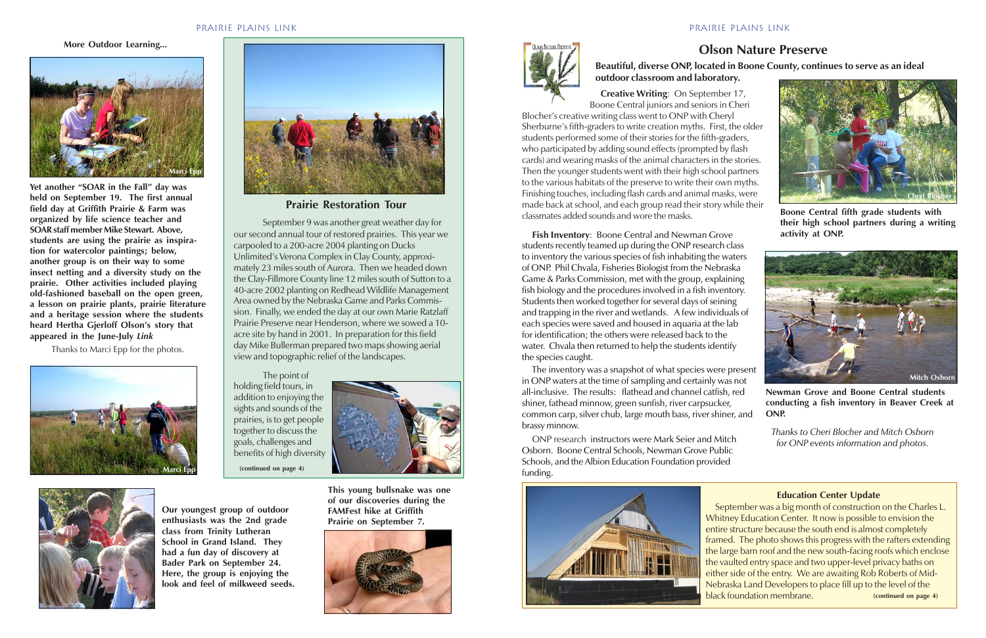## **Olson Nature Preserve**

# **Beautiful, diverse ONP, located in Boone County, continues to serve as an ideal outdoor classroom and laboratory.**

 **Creative Writing**: On September 17, Boone Central juniors and seniors in Cheri Blocher's creative writing class went to ONP with Cheryl Sherburne's fifth-graders to write creation myths. First, the older students performed some of their stories for the fifth-graders, who participated by adding sound effects (prompted by flash cards) and wearing masks of the animal characters in the stories. Then the younger students went with their high school partners to the various habitats of the preserve to write their own myths. Finishing touches, including flash cards and animal masks, were made back at school, and each group read their story while their classmates added sounds and wore the masks. **Boone Central fifth grade students with**

**activity at ONP. Fish Inventory**: Boone Central and Newman Grove students recently teamed up during the ONP research class to inventory the various species of fish inhabiting the waters of ONP. Phil Chvala, Fisheries Biologist from the Nebraska Game & Parks Commission, met with the group, explaining fish biology and the procedures involved in a fish inventory. Students then worked together for several days of seining and trapping in the river and wetlands. A few individuals of each species were saved and housed in aquaria at the lab for identification; the others were released back to the water. Chvala then returned to help the students identify the species caught.

 The inventory was a snapshot of what species were present in ONP waters at the time of sampling and certainly was not all-inclusive. The results: flathead and channel catfish, red shiner, fathead minnow, green sunfish, river carpsucker, common carp, silver chub, large mouth bass, river shiner, and brassy minnow.



**their high school partners during a writing**

 ONP research instructors were Mark Seier and Mitch Osborn. Boone Central Schools, Newman Grove Public Schools, and the Albion Education Foundation provided funding.



#### **Education Center Update**

September was a big month of construction on the Charles L. Whitney Education Center. It now is possible to envision the entire structure because the south end is almost completely framed. The photo shows this progress with the rafters extending the large barn roof and the new south-facing roofs which enclose the vaulted entry space and two upper-level privacy baths on either side of the entry. We are awaiting Rob Roberts of Mid-Nebraska Land Developers to place fill up to the level of the black foundation membrane. **(continued on page 4)**

**Our youngest group of outdoor enthusiasts was the 2nd grade class from Trinity Lutheran School in Grand Island. They had a fun day of discovery at Bader Park on September 24.**

**Here, the group is enjoying the look and feel of milkweed seeds.** **This young bullsnake was one of our discoveries during the FAMFest hike at Griffith Prairie on September 7.**





September 9 was another great weather day for our second annual tour of restored prairies. This year we carpooled to a 200-acre 2004 planting on Ducks Unlimited's Verona Complex in Clay County, approximately 23 miles south of Aurora. Then we headed down the Clay-Fillmore County line 12 miles south of Sutton to a 40-acre 2002 planting on Redhead Wildlife Management Area owned by the Nebraska Game and Parks Commission. Finally, we ended the day at our own Marie Ratzlaff Prairie Preserve near Henderson, where we sowed a 10 acre site by hand in 2001. In preparation for this field day Mike Bullerman prepared two maps showing aerial view and topographic relief of the landscapes.

The point of holding field tours, in addition to enjoying the sights and sounds of the prairies, is to get people together to discuss the goals, challenges and benefits of high diversity



**Yet another "SOAR in the Fall" day was held on September 19. The first annual field day at Griffith Prairie & Farm was organized by life science teacher and SOAR staff member Mike Stewart. Above, students are using the prairie as inspiration for watercolor paintings; below, another group is on their way to some insect netting and a diversity study on the prairie. Other activities included playing old-fashioned baseball on the open green, a lesson on prairie plants, prairie literature and a heritage session where the students heard Hertha Gjerloff Olson's story that appeared in the June-July** *Link*

Thanks to Marci Epp for the photos.

**More Outdoor Learning...**









Newman Grove and Boone Central students **conducting a fish inventory in Beaver Creek at ONP.**

*Thanks to Cheri Blocher and Mitch Osborn for ONP events information and photos.*

## Prairie plains Link

**(continued on page 4)**

**Prairie Restoration Tour**